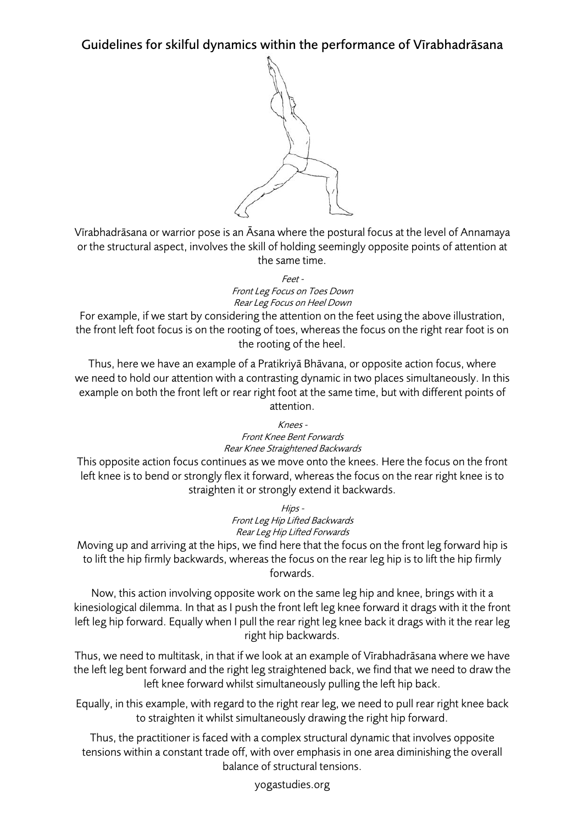Guidelines for skilful dynamics within the performance of Vīrabhadrāsana



Vīrabhadrāsana or warrior pose is an Āsana where the postural focus at the level of Annamaya or the structural aspect, involves the skill of holding seemingly opposite points of attention at the same time.

> Feet - Front Leg Focus on Toes Down Rear Leg Focus on Heel Down

For example, if we start by considering the attention on the feet using the above illustration, the front left foot focus is on the rooting of toes, whereas the focus on the right rear foot is on the rooting of the heel.

Thus, here we have an example of a Pratikriyā Bhāvana, or opposite action focus, where we need to hold our attention with a contrasting dynamic in two places simultaneously. In this example on both the front left or rear right foot at the same time, but with different points of attention.

> $K$ nees -Front Knee Bent Forwards Rear Knee Straightened Backwards

This opposite action focus continues as we move onto the knees. Here the focus on the front left knee is to bend or strongly flex it forward, whereas the focus on the rear right knee is to straighten it or strongly extend it backwards.

> Hips - Front Leg Hip Lifted Backwards Rear Leg Hip Lifted Forwards

Moving up and arriving at the hips, we find here that the focus on the front leg forward hip is to lift the hip firmly backwards, whereas the focus on the rear leg hip is to lift the hip firmly forwards.

Now, this action involving opposite work on the same leg hip and knee, brings with it a kinesiological dilemma. In that as I push the front left leg knee forward it drags with it the front left leg hip forward. Equally when I pull the rear right leg knee back it drags with it the rear leg right hip backwards.

Thus, we need to multitask, in that if we look at an example of Vīrabhadrāsana where we have the left leg bent forward and the right leg straightened back, we find that we need to draw the left knee forward whilst simultaneously pulling the left hip back.

Equally, in this example, with regard to the right rear leg, we need to pull rear right knee back to straighten it whilst simultaneously drawing the right hip forward.

Thus, the practitioner is faced with a complex structural dynamic that involves opposite tensions within a constant trade off, with over emphasis in one area diminishing the overall balance of structural tensions.

yogastudies.org